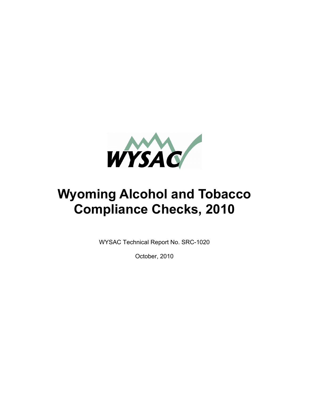

# **Wyoming Alcohol and Tobacco Compliance Checks, 2010**

WYSAC Technical Report No. SRC-1020

October, 2010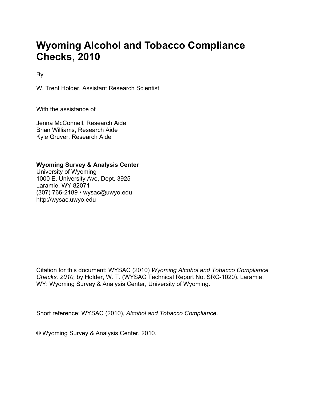# **Wyoming Alcohol and Tobacco Compliance Checks, 2010**

By

W. Trent Holder, Assistant Research Scientist

With the assistance of

Jenna McConnell, Research Aide Brian Williams, Research Aide Kyle Gruver, Research Aide

**Wyoming Survey & Analysis Center** 

University of Wyoming 1000 E. University Ave, Dept. 3925 Laramie, WY 82071 (307) 766-2189 • wysac@uwyo.edu http://wysac.uwyo.edu

Citation for this document: WYSAC (2010) *Wyoming Alcohol and Tobacco Compliance Checks, 2010,* by Holder, W. T. (WYSAC Technical Report No. SRC-1020). Laramie, WY: Wyoming Survey & Analysis Center, University of Wyoming.

Short reference: WYSAC (2010), *Alcohol and Tobacco Compliance*.

© Wyoming Survey & Analysis Center, 2010.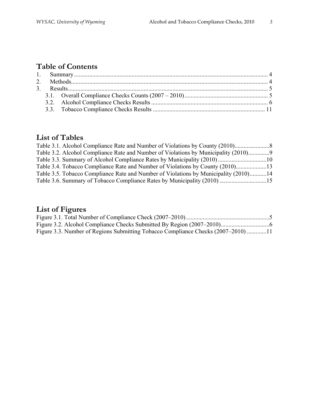# **Table of Contents**

# **List of Tables**

| Table 3.1. Alcohol Compliance Rate and Number of Violations by County (2010)         |  |
|--------------------------------------------------------------------------------------|--|
| Table 3.2. Alcohol Compliance Rate and Number of Violations by Municipality (2010)   |  |
|                                                                                      |  |
| Table 3.4. Tobacco Compliance Rate and Number of Violations by County (2010)13       |  |
| Table 3.5. Tobacco Compliance Rate and Number of Violations by Municipality (2010)14 |  |
|                                                                                      |  |
|                                                                                      |  |

# **List of Figures**

| Figure 3.3. Number of Regions Submitting Tobacco Compliance Checks (2007–2010) 11 |  |
|-----------------------------------------------------------------------------------|--|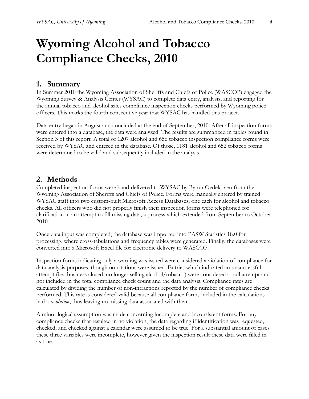# **Wyoming Alcohol and Tobacco Compliance Checks, 2010**

## **1. Summary**

In Summer 2010 the Wyoming Association of Sheriffs and Chiefs of Police (WASCOP) engaged the Wyoming Survey & Analysis Center (WYSAC) to complete data entry, analysis, and reporting for the annual tobacco and alcohol sales compliance inspection checks performed by Wyoming police officers. This marks the fourth consecutive year that WYSAC has handled this project.

Data entry began in August and concluded at the end of September, 2010. After all inspection forms were entered into a database, the data were analyzed. The results are summarized in tables found in Section 3 of this report. A total of 1207 alcohol and 656 tobacco inspection compliance forms were received by WYSAC and entered in the database. Of those, 1181 alcohol and 652 tobacco forms were determined to be valid and subsequently included in the analysis.

#### **2. Methods**

Completed inspection forms were hand-delivered to WYSAC by Byron Oedekoven from the Wyoming Association of Sheriffs and Chiefs of Police. Forms were manually entered by trained WYSAC staff into two custom-built Microsoft Access Databases; one each for alcohol and tobacco checks. All officers who did not properly finish their inspection forms were telephoned for clarification in an attempt to fill missing data, a process which extended from September to October 2010.

Once data input was completed, the database was imported into PASW Statistics 18.0 for processing, where cross-tabulations and frequency tables were generated. Finally, the databases were converted into a Microsoft Excel file for electronic delivery to WASCOP.

Inspection forms indicating only a warning was issued were considered a violation of compliance for data analysis purposes, though no citations were issued. Entries which indicated an unsuccessful attempt (i.e., business closed, no longer selling alcohol/tobacco) were considered a null attempt and not included in the total compliance check count and the data analysis. Compliance rates are calculated by dividing the number of non-infractions reported by the number of compliance checks performed. This rate is considered valid because all compliance forms included in the calculations had a *resolution*, thus leaving no missing data associated with them.

A minor logical assumption was made concerning incomplete and inconsistent forms. For any compliance checks that resulted in no violation, the data regarding if identification was requested, checked, and checked against a calendar were assumed to be true. For a substantial amount of cases these three variables were incomplete, however given the inspection result these data were filled in as true.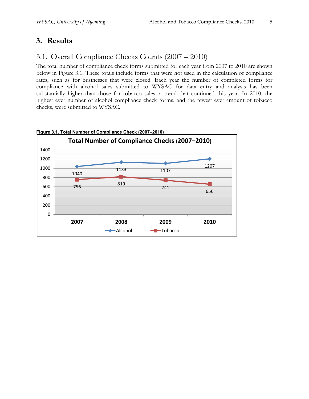## **3. Results**

### 3.1. Overall Compliance Checks Counts (2007 – 2010)

The total number of compliance check forms submitted for each year from 2007 to 2010 are shown below in Figure 3.1. These totals include forms that were not used in the calculation of compliance rates, such as for businesses that were closed. Each year the number of completed forms for compliance with alcohol sales submitted to WYSAC for data entry and analysis has been substantially higher than those for tobacco sales, a trend that continued this year. In 2010, the highest ever number of alcohol compliance check forms, and the fewest ever amount of tobacco checks, were submitted to WYSAC.



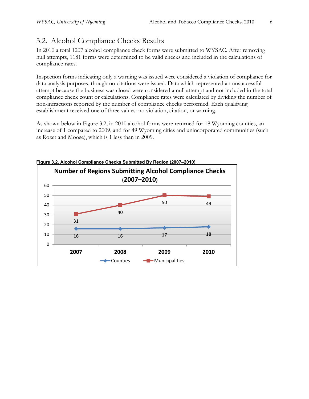# 3.2. Alcohol Compliance Checks Results

In 2010 a total 1207 alcohol compliance check forms were submitted to WYSAC. After removing null attempts, 1181 forms were determined to be valid checks and included in the calculations of compliance rates.

Inspection forms indicating only a warning was issued were considered a violation of compliance for data analysis purposes, though no citations were issued. Data which represented an unsuccessful attempt because the business was closed were considered a null attempt and not included in the total compliance check count or calculations. Compliance rates were calculated by dividing the number of non-infractions reported by the number of compliance checks performed. Each qualifying establishment received one of three values: no violation, citation, or warning.

As shown below in Figure 3.2, in 2010 alcohol forms were returned for 18 Wyoming counties, an increase of 1 compared to 2009, and for 49 Wyoming cities and unincorporated communities (such as Rozet and Moose), which is 1 less than in 2009.



#### **Figure 3.2. Alcohol Compliance Checks Submitted By Region (2007–2010)**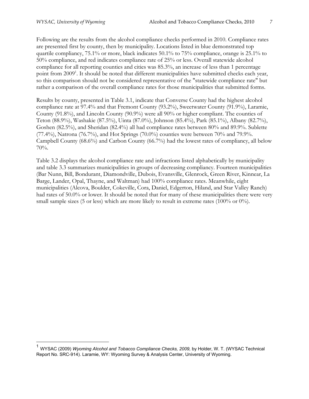$\overline{a}$ 

Following are the results from the alcohol compliance checks performed in 2010. Compliance rates are presented first by county, then by municipality. Locations listed in blue demonstrated top quartile compliancy, 75.1% or more, black indicates 50.1% to 75% compliance, orange is 25.1% to 50% compliance, and red indicates compliance rate of 25% or less. Overall statewide alcohol compliance for all reporting counties and cities was 85.3%, an increase of less than 1 percentage point from 2009<sup>1</sup>. It should be noted that different municipalities have submitted checks each year, so this comparison should not be considered representative of the "statewide compliance rate" but rather a comparison of the overall compliance rates for those municipalities that submitted forms.

Results by county, presented in Table 3.1, indicate that Converse County had the highest alcohol compliance rate at 97.4% and that Fremont County (93.2%), Sweetwater County (91.9%), Laramie, County (91.8%), and Lincoln County (90.9%) were all 90% or higher compliant. The counties of Teton (88.9%), Washakie (87.5%), Uinta (87.0%), Johnson (85.4%), Park (85.1%), Albany (82.7%), Goshen (82.5%), and Sheridan (82.4%) all had compliance rates between 80% and 89.9%. Sublette  $(77.4\%)$ , Natrona  $(76.7\%)$ , and Hot Springs  $(70.0\%)$  counties were between 70% and 79.9%. Campbell County (68.6%) and Carbon County (66.7%) had the lowest rates of compliancy, all below 70%.

Table 3.2 displays the alcohol compliance rate and infractions listed alphabetically by municipality and table 3.3 summarizes municipalities in groups of decreasing compliancy. Fourteen municipalities (Bar Nunn, Bill, Bondurant, Diamondville, Dubois, Evansville, Glenrock, Green River, Kinnear, La Barge, Lander, Opal, Thayne, and Waltman) had 100% compliance rates. Meanwhile, eight municipalities (Alcova, Boulder, Cokeville, Cora, Daniel, Edgerton, Hiland, and Star Valley Ranch) had rates of 50.0% or lower. It should be noted that for many of these municipalities there were very small sample sizes (5 or less) which are more likely to result in extreme rates (100% or 0%).

<sup>&</sup>lt;sup>1</sup> WYSAC (2009) *Wyoming Alcohol and Tobacco Compliance Checks, 2009,* by Holder, W. T. (WYSAC Technical Report No. SRC-914). Laramie, WY: Wyoming Survey & Analysis Center, University of Wyoming.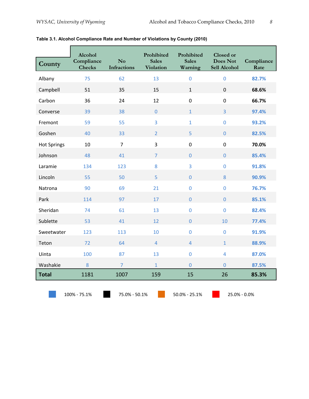| County             | Alcohol<br>Compliance<br><b>Checks</b> | N <sub>o</sub><br><b>Infractions</b> | Prohibited<br><b>Sales</b><br><b>Violation</b> | Prohibited<br><b>Sales</b><br>Warning | <b>Closed or</b><br><b>Does Not</b><br><b>Sell Alcohol</b> | Compliance<br>Rate |
|--------------------|----------------------------------------|--------------------------------------|------------------------------------------------|---------------------------------------|------------------------------------------------------------|--------------------|
| Albany             | 75                                     | 62                                   | 13                                             | $\mathbf 0$                           | $\overline{0}$                                             | 82.7%              |
| Campbell           | 51                                     | 35                                   | 15                                             | $\mathbf{1}$                          | $\mathbf 0$                                                | 68.6%              |
| Carbon             | 36                                     | 24                                   | 12                                             | $\mathbf 0$                           | $\mathbf 0$                                                | 66.7%              |
| Converse           | 39                                     | 38                                   | $\overline{0}$                                 | $\mathbf{1}$                          | $\overline{3}$                                             | 97.4%              |
| Fremont            | 59                                     | 55                                   | $\overline{3}$                                 | $\mathbf{1}$                          | $\overline{0}$                                             | 93.2%              |
| Goshen             | 40                                     | 33                                   | $\overline{2}$                                 | 5                                     | $\overline{0}$                                             | 82.5%              |
| <b>Hot Springs</b> | 10                                     | $\overline{7}$                       | 3                                              | $\mathbf 0$                           | $\mathbf 0$                                                | 70.0%              |
| Johnson            | 48                                     | 41                                   | $\overline{7}$                                 | $\overline{0}$                        | $\overline{0}$                                             | 85.4%              |
| Laramie            | 134                                    | 123                                  | 8                                              | 3                                     | $\mathbf 0$                                                | 91.8%              |
| Lincoln            | 55                                     | 50                                   | 5                                              | $\overline{0}$                        | 8                                                          | 90.9%              |
| Natrona            | 90                                     | 69                                   | 21                                             | $\overline{0}$                        | $\overline{0}$                                             | 76.7%              |
| Park               | 114                                    | 97                                   | 17                                             | $\overline{0}$                        | $\overline{0}$                                             | 85.1%              |
| Sheridan           | 74                                     | 61                                   | 13                                             | $\mathbf 0$                           | $\overline{0}$                                             | 82.4%              |
| Sublette           | 53                                     | 41                                   | 12                                             | $\overline{0}$                        | 10                                                         | 77.4%              |
| Sweetwater         | 123                                    | 113                                  | 10                                             | $\overline{0}$                        | $\overline{0}$                                             | 91.9%              |
| Teton              | 72                                     | 64                                   | $\overline{4}$                                 | $\overline{4}$                        | $\overline{1}$                                             | 88.9%              |
| Uinta              | 100                                    | 87                                   | 13                                             | $\mathbf 0$                           | $\overline{4}$                                             | 87.0%              |
| Washakie           | 8                                      | $\overline{7}$                       | $\overline{1}$                                 | $\overline{0}$                        | $\overline{0}$                                             | 87.5%              |
| <b>Total</b>       | 1181                                   | 1007                                 | 159                                            | 15                                    | 26                                                         | 85.3%              |

|  | Table 3.1. Alcohol Compliance Rate and Number of Violations by County (2010) |  |  |  |
|--|------------------------------------------------------------------------------|--|--|--|
|  |                                                                              |  |  |  |

100% ‐ 75.1% 75.0% ‐ 50.1% 50.0% ‐ 25.1% 25.0% ‐ 0.0%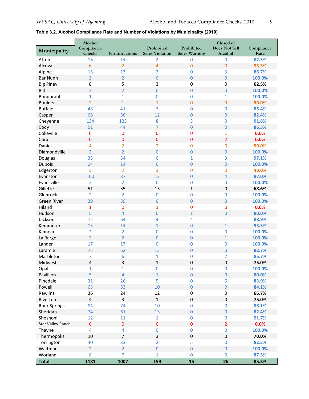| Municipality             | Alcohol<br>Compliance<br>Checks | <b>No Infractions</b> | Prohibited<br><b>Sales Violation</b> | Prohibited<br><b>Sales Warning</b> | Closed or<br><b>Does Not Sell</b><br>Alcohol | Compliance<br>Rate |
|--------------------------|---------------------------------|-----------------------|--------------------------------------|------------------------------------|----------------------------------------------|--------------------|
| Afton                    | 16                              | 14                    | $\overline{2}$                       | $\pmb{0}$                          | $\mathbf 0$                                  | 87.5%              |
| Alcova                   | 6                               | $\overline{2}$        | 4                                    | $\mathbf 0$                        | $\mathbf 0$                                  | 33.3%              |
| Alpine                   | 15                              | 13                    | $\overline{2}$                       | $\bf{0}$                           | 3                                            | 86.7%              |
| <b>Bar Nunn</b>          | $\overline{2}$                  | $\overline{2}$        | 0                                    | $\bf 0$                            | $\theta$                                     | 100.0%             |
| <b>Big Piney</b>         | 8                               | 5                     | 3                                    | $\mathbf 0$                        | $\boldsymbol{0}$                             | 62.5%              |
| Bill                     | 2                               | $\overline{2}$        | $\overline{0}$                       | $\bf 0$                            | $\overline{0}$                               | 100.0%             |
| <b>Bondurant</b>         | $\mathbf{1}$                    | $\mathbf{1}$          | 0                                    | $\mathbf 0$                        | $\mathbf{1}$                                 | 100.0%             |
| <b>Boulder</b>           | $\overline{2}$                  | $\mathbf{1}$          | $\mathbf{1}$                         | $\mathbf 0$                        | $\mathbf{0}$                                 | 50.0%              |
| <b>Buffalo</b>           | 48                              | 41                    | 7                                    | $\mathbf 0$                        | $\overline{0}$                               | 85.4%              |
| Casper                   | 68                              | 56                    | 12                                   | $\mathbf 0$                        | $\overline{0}$                               | 82.4%              |
| Cheyenne                 | 134                             | 123                   | 8                                    | 3                                  | $\bf{0}$                                     | 91.8%              |
| Cody                     | 51                              | 44                    | $\overline{7}$                       | $\mathbf 0$                        | $\overline{0}$                               | 86.3%              |
| Cokeville                | $\bf{0}$                        | 0                     | $\bf{0}$                             | $\bf{0}$                           | $\mathbf{1}$                                 | 0.0%               |
| Cora                     | $\mathbf 0$                     | $\mathbf 0$           | $\mathbf 0$                          | $\mathbf 0$                        | $\overline{2}$                               | 0.0%               |
| Daniel                   | 4                               | 2                     | $\overline{2}$                       | $\mathbf 0$                        | $\bf{0}$                                     | 50.0%              |
| Diamondville             | $\overline{2}$                  | $\overline{2}$        | $\overline{0}$                       | $\mathbf 0$                        | $\mathbf{0}$                                 | 100.0%             |
| Douglas                  | 35                              | 34                    | 0                                    | 1                                  | 3                                            | 97.1%              |
| <b>Dubois</b>            | 14                              | 14                    | $\overline{0}$                       | $\mathbf 0$                        | $\mathbf{0}$                                 | 100.0%             |
| Edgerton                 | 5                               | $\overline{2}$        | 3                                    | $\mathbf 0$                        | $\mathbf{0}$                                 | 40.0%              |
| Evanston                 | 100                             | 87                    | 13                                   | $\overline{0}$                     | $\overline{4}$                               | 87.0%              |
| Evansville               | $\overline{2}$                  | $\overline{2}$        | $\overline{0}$                       | $\mathbf 0$                        | $\mathbf 0$                                  | 100.0%             |
| Gillette                 | 51                              | 35                    | 15                                   | $\mathbf{1}$                       | $\mathbf 0$                                  | 68.6%              |
| Glenrock                 | $\overline{2}$                  | 2                     | $\mathbf 0$                          | $\mathbf 0$                        | 0                                            | 100.0%             |
| <b>Green River</b>       | 39                              | 39                    | $\mathbf 0$                          | $\mathbf 0$                        | $\mathbf{0}$                                 | 100.0%             |
| Hiland                   | 1                               | 0                     | $\mathbf{1}$                         | $\bf{0}$                           | $\bf{0}$                                     | 0.0%               |
| Hudson                   | 5                               | $\overline{4}$        | $\overline{0}$                       | $\mathbf{1}$                       | $\mathbf{0}$                                 | 80.0%              |
| Jackson                  | 72                              | 64                    | 4                                    | 4                                  |                                              | 88.9%              |
| Kemmerer                 | 15                              | 14                    | $\mathbf{1}$                         | $\boldsymbol{0}$                   | 1<br>$\mathbf 1$                             | 93.3%              |
| Kinnear                  |                                 |                       | 0                                    | $\mathbf 0$                        |                                              | 100.0%             |
|                          | 2<br>$\overline{2}$             | 2<br>$\overline{2}$   | $\mathbf{0}$                         | $\boldsymbol{0}$                   | 0<br>$\mathbf 1$                             | 100.0%             |
| La Barge                 |                                 |                       |                                      |                                    |                                              |                    |
| Lander                   | 17                              | 17                    | 0                                    | $\mathbf 0$                        | 0                                            | 100.0%             |
| Laramie                  | 75                              | 62                    | 13                                   | $\mathbf 0$                        | $\bf{0}$                                     | 82.7%<br>85.7%     |
| Marbleton                | 7                               | 6                     | 1                                    | 0                                  | 2                                            |                    |
| Midwest                  | 4                               | 3                     | $\mathbf{1}$                         | $\mathbf 0$                        | 0                                            | 75.0%              |
| Opal                     | 1                               | 1                     | $\mathbf 0$                          | $\bf{0}$                           | $\mathbf 0$                                  | 100.0%             |
| Pavillion                | 5                               | $\overline{4}$        | $\mathbf{1}$                         | $\mathbf 0$                        | $\overline{0}$                               | 80.0%              |
| Pinedale                 | 31                              | 26                    | 5                                    | $\pmb{0}$                          | 5                                            | 83.9%              |
| Powell                   | 63                              | 53                    | 10                                   | $\boldsymbol{0}$                   | $\mathbf{0}$                                 | 84.1%              |
| Rawlins                  | 36                              | 24                    | 12                                   | $\pmb{0}$                          | $\pmb{0}$                                    | 66.7%              |
| Riverton                 | 4                               | 3                     | $\mathbf{1}$                         | $\pmb{0}$                          | $\pmb{0}$                                    | 75.0%              |
| <b>Rock Springs</b>      | 84                              | 74                    | 10                                   | $\pmb{0}$                          | $\pmb{0}$                                    | 88.1%              |
| Sheridan                 | 74                              | 61                    | 13                                   | $\pmb{0}$                          | $\boldsymbol{0}$                             | 82.4%              |
| Shoshoni                 | 12                              | 11                    | $\mathbf{1}$                         | $\pmb{0}$                          | $\pmb{0}$                                    | 91.7%              |
| <b>Star Valley Ranch</b> | $\pmb{0}$                       | $\pmb{0}$             | $\mathbf 0$                          | $\pmb{0}$                          | $\overline{2}$                               | 0.0%               |
| Thayne                   | 4                               | 4                     | 0                                    | $\pmb{0}$                          | $\bf{0}$                                     | 100.0%             |
| Thermopolis              | $10\,$                          | $\overline{7}$        | 3                                    | $\boldsymbol{0}$                   | $\boldsymbol{0}$                             | 70.0%              |
| Torrington               | 40                              | 33                    | $\overline{2}$                       | 5                                  | $\mathbf 0$                                  | 82.5%              |
| Waltman                  | $\overline{2}$                  | $\overline{2}$        | $\overline{0}$                       | $\pmb{0}$                          | $\mathbf{0}$                                 | 100.0%             |
| Worland                  | 8                               | $\overline{7}$        | $\mathbf{1}$                         | $\bf{0}$                           | $\mathbf{0}$                                 | 87.5%              |
| <b>Total</b>             | 1181                            | 1007                  | 159                                  | 15                                 | 26                                           | 85.3%              |

#### **Table 3.2. Alcohol Compliance Rate and Number of Violations by Municipality (2010)**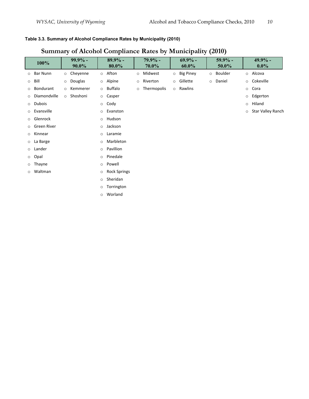#### **Table 3.3. Summary of Alcohol Compliance Rates by Municipality (2010)**

#### **100%**  $^{99.9\%}$ **90.0% 89.9% - 80.0% 79.9% - 70.0% 69.9% - 60.0% 59.9% - 50.0% 49.9% - 0.0%**  o Bar Nunn o Cheyenne o Afton o Midwest o Big Piney o Boulder o Alcova o Bill o Douglas o Alpine o Riverton o Gillette o Daniel o Cokeville o Bondurant o Kemmerer o Buffalo o Thermopolis o Rawlins o Cora o Diamondville o Shoshoni o Casper o Edgerton o Dubois o Cody o Hiland o Evansville  **o Evanston** o Evanston o Evanston o Star Valley Ranch o Glenrock o Hudson o Green River **by Community** Communication of Jackson o Kinnear o Laramie o La Barge **1988** o Marbleton o Lander  **o Pavillion** o Opal o Pinedale o Thayne **by Community** Communication Powell o Waltman o Rock Springs o Sheridan o Torrington o Worland

### **Summary of Alcohol Compliance Rates by Municipality (2010)**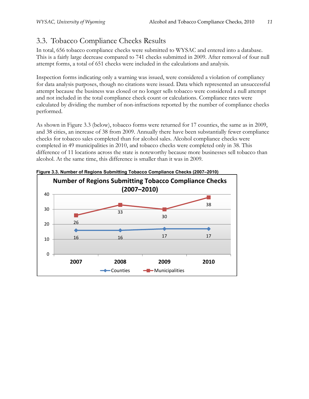## 3.3. Tobacco Compliance Checks Results

In total, 656 tobacco compliance checks were submitted to WYSAC and entered into a database. This is a fairly large decrease compared to 741 checks submitted in 2009. After removal of four null attempt forms, a total of 651 checks were included in the calculations and analysis.

Inspection forms indicating only a warning was issued, were considered a violation of compliancy for data analysis purposes, though no citations were issued. Data which represented an unsuccessful attempt because the business was closed or no longer sells tobacco were considered a null attempt and not included in the total compliance check count or calculations. Compliance rates were calculated by dividing the number of non-infractions reported by the number of compliance checks performed.

As shown in Figure 3.3 (below), tobacco forms were returned for 17 counties, the same as in 2009, and 38 cities, an increase of 38 from 2009. Annually there have been substantially fewer compliance checks for tobacco sales completed than for alcohol sales. Alcohol compliance checks were completed in 49 municipalities in 2010, and tobacco checks were completed only in 38. This difference of 11 locations across the state is noteworthy because more businesses sell tobacco than alcohol. At the same time, this difference is smaller than it was in 2009.



**Figure 3.3. Number of Regions Submitting Tobacco Compliance Checks (2007–2010)**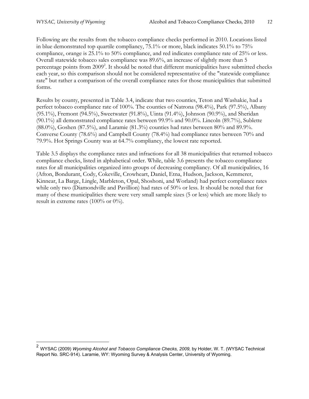$\overline{a}$ 

Following are the results from the tobacco compliance checks performed in 2010. Locations listed in blue demonstrated top quartile compliancy, 75.1% or more, black indicates 50.1% to 75% compliance, orange is 25.1% to 50% compliance, and red indicates compliance rate of 25% or less. Overall statewide tobacco sales compliance was 89.6%, an increase of slightly more than 5 percentage points from 2009<sup>2</sup>. It should be noted that different municipalities have submitted checks each year, so this comparison should not be considered representative of the "statewide compliance rate" but rather a comparison of the overall compliance rates for those municipalities that submitted forms.

Results by county, presented in Table 3.4, indicate that two counties, Teton and Washakie, had a perfect tobacco compliance rate of 100%. The counties of Natrona (98.4%), Park (97.5%), Albany (95.1%), Fremont (94.5%), Sweetwater (91.8%), Uinta (91.4%), Johnson (90.9%), and Sheridan (90.1%) all demonstrated compliance rates between 99.9% and 90.0%. Lincoln (89.7%), Sublette (88.0%), Goshen (87.5%), and Laramie (81.3%) counties had rates between 80% and 89.9%. Converse County (78.6%) and Campbell County (78.4%) had compliance rates between 70% and 79.9%. Hot Springs County was at 64.7% compliancy, the lowest rate reported.

Table 3.5 displays the compliance rates and infractions for all 38 municipalities that returned tobacco compliance checks, listed in alphabetical order. While, table 3.6 presents the tobacco compliance rates for all municipalities organized into groups of decreasing compliancy. Of all municipalities, 16 (Afton, Bondurant, Cody, Cokeville, Crowheart, Daniel, Etna, Hudson, Jackson, Kemmerer, Kinnear, La Barge, Lingle, Marbleton, Opal, Shoshoni, and Worland) had perfect compliance rates while only two (Diamondville and Pavillion) had rates of 50% or less. It should be noted that for many of these municipalities there were very small sample sizes (5 or less) which are more likely to result in extreme rates (100% or  $0\%$ ).

<sup>2</sup> WYSAC (2009) *Wyoming Alcohol and Tobacco Compliance Checks, 2009,* by Holder, W. T. (WYSAC Technical Report No. SRC-914). Laramie, WY: Wyoming Survey & Analysis Center, University of Wyoming.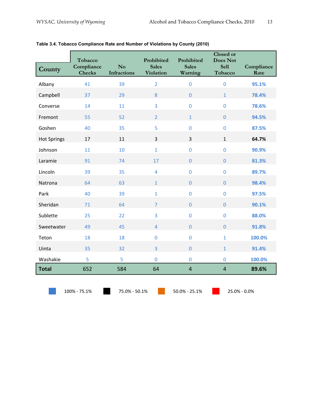| County                                                         | Tobacco<br>Compliance<br><b>Checks</b> | $\mathbf{N}\mathbf{o}$<br><b>Infractions</b> | Prohibited<br><b>Sales</b><br>Violation | Prohibited<br><b>Sales</b><br>Warning | <b>Closed</b> or<br><b>Does Not</b><br><b>Sell</b><br>Tobacco | Compliance<br>Rate |
|----------------------------------------------------------------|----------------------------------------|----------------------------------------------|-----------------------------------------|---------------------------------------|---------------------------------------------------------------|--------------------|
| Albany                                                         | 41                                     | 39                                           | $\overline{2}$                          | $\mathbf 0$                           | $\overline{0}$                                                | 95.1%              |
| Campbell                                                       | 37                                     | 29                                           | 8                                       | $\overline{0}$                        | $\mathbf{1}$                                                  | 78.4%              |
| Converse                                                       | 14                                     | 11                                           | 3                                       | $\mathbf 0$                           | $\mathbf 0$                                                   | 78.6%              |
| Fremont                                                        | 55                                     | 52                                           | $\overline{2}$                          | $\mathbf{1}$                          | $\mathbf 0$                                                   | 94.5%              |
| Goshen                                                         | 40                                     | 35                                           | 5                                       | $\overline{0}$                        | $\overline{0}$                                                | 87.5%              |
| <b>Hot Springs</b>                                             | 17                                     | 11                                           | $\overline{3}$                          | 3                                     | $\mathbf{1}$                                                  | 64.7%              |
| Johnson                                                        | 11                                     | 10                                           | $\mathbf{1}$                            | $\overline{0}$                        | $\overline{0}$                                                | 90.9%              |
| Laramie                                                        | 91                                     | 74                                           | 17                                      | $\overline{0}$                        | $\mathbf 0$                                                   | 81.3%              |
| Lincoln                                                        | 39                                     | 35                                           | $\overline{4}$                          | $\overline{0}$                        | $\overline{0}$                                                | 89.7%              |
| Natrona                                                        | 64                                     | 63                                           | $\mathbf{1}$                            | $\overline{0}$                        | $\overline{0}$                                                | 98.4%              |
| Park                                                           | 40                                     | 39                                           | $\mathbf{1}$                            | $\overline{0}$                        | $\overline{0}$                                                | 97.5%              |
| Sheridan                                                       | 71                                     | 64                                           | $\overline{7}$                          | $\overline{0}$                        | $\overline{0}$                                                | 90.1%              |
| Sublette                                                       | 25                                     | 22                                           | 3                                       | $\overline{0}$                        | $\overline{0}$                                                | 88.0%              |
| Sweetwater                                                     | 49                                     | 45                                           | $\overline{4}$                          | $\overline{0}$                        | $\overline{0}$                                                | 91.8%              |
| Teton                                                          | 18                                     | 18                                           | $\mathbf 0$                             | $\mathbf 0$                           | $\mathbf{1}$                                                  | 100.0%             |
| Uinta                                                          | 35                                     | 32                                           | $\overline{3}$                          | $\overline{0}$                        | $\mathbf{1}$                                                  | 91.4%              |
| Washakie                                                       | 5                                      | 5                                            | $\overline{0}$                          | $\overline{0}$                        | $\overline{0}$                                                | 100.0%             |
| <b>Total</b>                                                   | 652                                    | 584                                          | 64                                      | $\overline{4}$                        | $\overline{4}$                                                | 89.6%              |
| 75.0% - 50.1%<br>100% - 75.1%<br>50.0% - 25.1%<br>25.0% - 0.0% |                                        |                                              |                                         |                                       |                                                               |                    |

#### **Table 3.4. Tobacco Compliance Rate and Number of Violations by County (2010)**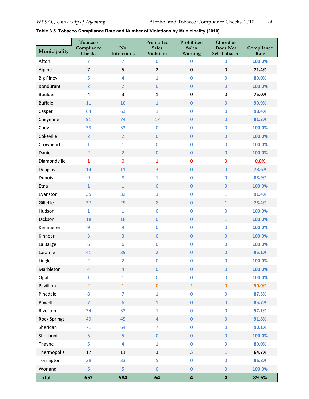| Municipality        | Tobacco<br>Compliance<br><b>Checks</b> | No<br><b>Infractions</b> | Prohibited<br><b>Sales</b><br><b>Violation</b> | Prohibited<br><b>Sales</b><br>Warning | Closed or<br>Does Not<br>Sell Tobacco | Compliance<br>Rate |
|---------------------|----------------------------------------|--------------------------|------------------------------------------------|---------------------------------------|---------------------------------------|--------------------|
| Afton               | $\overline{7}$                         | $\overline{7}$           | $\pmb{0}$                                      | $\pmb{0}$                             | $\mathbf 0$                           | 100.0%             |
| Alpine              | $\overline{7}$                         | 5                        | $\overline{2}$                                 | $\pmb{0}$                             | $\boldsymbol{0}$                      | 71.4%              |
| <b>Big Piney</b>    | 5                                      | 4                        | $\mathbf{1}$                                   | $\pmb{0}$                             | $\mathbf{0}$                          | 80.0%              |
| <b>Bondurant</b>    | $\overline{2}$                         | $\overline{2}$           | $\pmb{0}$                                      | $\pmb{0}$                             | $\mathbf{0}$                          | 100.0%             |
| Boulder             | 4                                      | 3                        | $\mathbf 1$                                    | $\boldsymbol{0}$                      | $\pmb{0}$                             | 75.0%              |
| <b>Buffalo</b>      | 11                                     | 10                       | $\mathbf{1}$                                   | $\pmb{0}$                             | $\mathbf{0}$                          | 90.9%              |
| Casper              | 64                                     | 63                       | $\mathbf{1}$                                   | $\pmb{0}$                             | $\mathbf 0$                           | 98.4%              |
| Cheyenne            | 91                                     | 74                       | 17                                             | $\pmb{0}$                             | $\mathbf{0}$                          | 81.3%              |
| Cody                | 33                                     | 33                       | $\pmb{0}$                                      | $\pmb{0}$                             | $\mathbf 0$                           | 100.0%             |
| Cokeville           | $\overline{2}$                         | $\overline{2}$           | $\boldsymbol{0}$                               | $\pmb{0}$                             | $\mathbf{0}$                          | 100.0%             |
| Crowheart           | $\mathbf{1}$                           | 1                        | $\pmb{0}$                                      | $\pmb{0}$                             | $\mathbf{0}$                          | 100.0%             |
| Daniel              | $\overline{2}$                         | $\overline{2}$           | $\pmb{0}$                                      | $\pmb{0}$                             | $\pmb{0}$                             | 100.0%             |
| Diamondville        | $\mathbf 1$                            | 0                        | $\mathbf{1}$                                   | $\pmb{0}$                             | $\pmb{0}$                             | 0.0%               |
| Douglas             | 14                                     | 11                       | $\overline{3}$                                 | $\pmb{0}$                             | $\mathbf{0}$                          | 78.6%              |
| <b>Dubois</b>       | 9                                      | 8                        | $\mathbf{1}$                                   | $\pmb{0}$                             | $\mathbf 0$                           | 88.9%              |
| Etna                | $\mathbf 1$                            | $\mathbf{1}$             | $\pmb{0}$                                      | $\pmb{0}$                             | $\mathbf{0}$                          | 100.0%             |
| Evanston            | 35                                     | 32                       | 3                                              | $\pmb{0}$                             | $\mathbf 1$                           | 91.4%              |
| Gillette            | 37                                     | 29                       | $\bf 8$                                        | $\boldsymbol{0}$                      | $\mathbf{1}$                          | 78.4%              |
| Hudson              | $\mathbf{1}$                           | $\mathbf{1}$             | $\pmb{0}$                                      | $\pmb{0}$                             | $\mathbf{0}$                          | 100.0%             |
| Jackson             | 18                                     | 18                       | $\pmb{0}$                                      | $\pmb{0}$                             | $\mathbf 1$                           | 100.0%             |
| Kemmerer            | 9                                      | 9                        | $\pmb{0}$                                      | $\pmb{0}$                             | $\mathbf 0$                           | 100.0%             |
| Kinnear             | $\overline{3}$                         | 3                        | $\boldsymbol{0}$                               | $\pmb{0}$                             | $\mathbf{0}$                          | 100.0%             |
| La Barge            | 6                                      | 6                        | $\bf{0}$                                       | $\pmb{0}$                             | $\bf{0}$                              | 100.0%             |
| Laramie             | 41                                     | 39                       | $\overline{2}$                                 | $\boldsymbol{0}$                      | $\mathbf{0}$                          | 95.1%              |
| Lingle              | $\overline{2}$                         | $\overline{2}$           | $\pmb{0}$                                      | $\pmb{0}$                             | $\mathbf 0$                           | 100.0%             |
| Marbleton           | $\overline{4}$                         | $\overline{4}$           | $\pmb{0}$                                      | $\pmb{0}$                             | $\bf 0$                               | 100.0%             |
| Opal                | $\mathbf{1}$                           | $\mathbf{1}$             | $\pmb{0}$                                      | $\pmb{0}$                             | $\pmb{0}$                             | 100.0%             |
| Pavillion           | $\overline{2}$                         | $\mathbf{1}$             | $\pmb{0}$                                      | $\mathbf 1$                           | $\mathbf{0}$                          | 50.0%              |
| Pinedale            | 8                                      | $\overline{7}$           | $\mathbf 1$                                    | $\pmb{0}$                             | $\mathbf 0$                           | 87.5%              |
| Powell              | $\overline{7}$                         | $6\phantom{a}$           | $1\,$                                          | $\pmb{0}$                             | $\mathbf 0$                           | 85.7%              |
| Riverton            | 34                                     | 33                       | $\mathbf{1}$                                   | $\pmb{0}$                             | $\mathbf 0$                           | 97.1%              |
| <b>Rock Springs</b> | 49                                     | 45                       | $\overline{4}$                                 | $\pmb{0}$                             | $\mathbf 0$                           | 91.8%              |
| Sheridan            | 71                                     | 64                       | $\overline{7}$                                 | $\pmb{0}$                             | $\mathbf 0$                           | 90.1%              |
| Shoshoni            | 5                                      | 5                        | $\pmb{0}$                                      | $\pmb{0}$                             | $\mathbf{0}$                          | 100.0%             |
| Thayne              | 5                                      | 4                        | $\mathbf{1}$                                   | $\pmb{0}$                             | $\bf{0}$                              | 80.0%              |
| Thermopolis         | $17\,$                                 | $11\,$                   | $\mathsf{3}$                                   | $\overline{\mathbf{3}}$               | $\mathbf{1}$                          | 64.7%              |
| Torrington          | 38                                     | 33                       | 5                                              | $\pmb{0}$                             | $\pmb{0}$                             | 86.8%              |
| Worland             | 5                                      | 5                        | $\pmb{0}$                                      | $\pmb{0}$                             | $\pmb{0}$                             | 100.0%             |
| <b>Total</b>        | 652                                    | 584                      | 64                                             | $\overline{\mathbf{a}}$               | $\overline{\mathbf{4}}$               | 89.6%              |

#### **Table 3.5. Tobacco Compliance Rate and Number of Violations by Municipality (2010)**